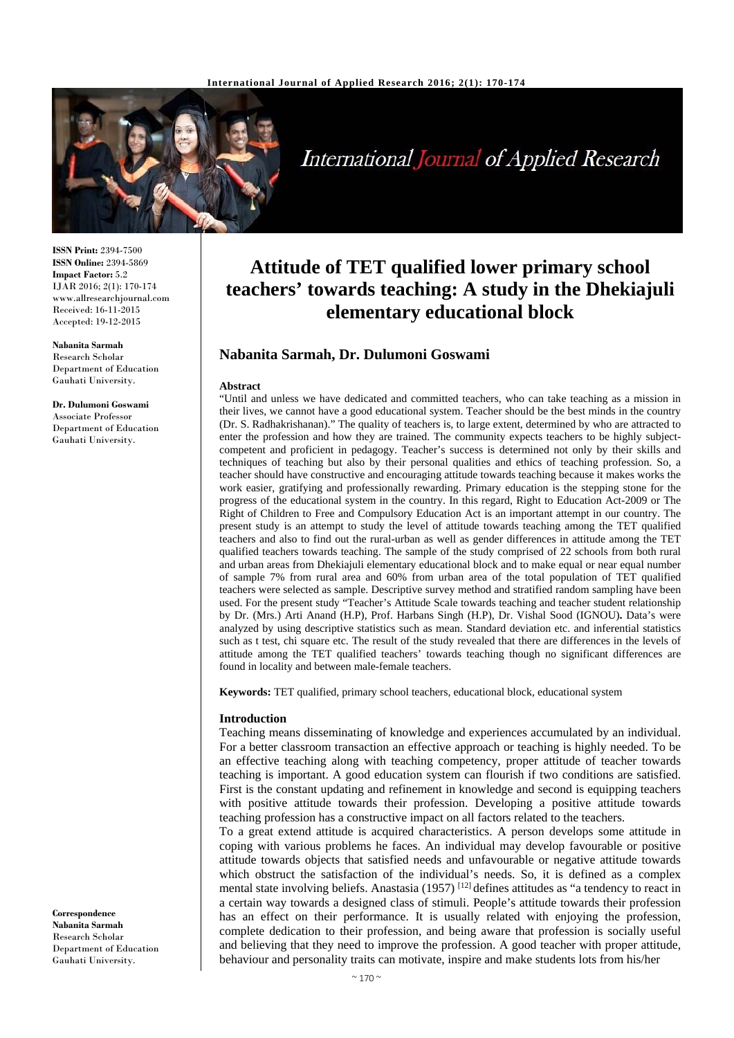

# International Journal of Applied Research

**ISSN Print:** 2394-7500 **ISSN Online:** 2394-5869 **Impact Factor:** 5.2 IJAR 2016; 2(1): 170-174 www.allresearchjournal.com Received: 16-11-2015 Accepted: 19-12-2015

**Nabanita Sarmah**  Research Scholar Department of Education Gauhati University.

**Dr. Dulumoni Goswami**  Associate Professor Department of Education Gauhati University.

**Correspondence Nabanita Sarmah**  Research Scholar Department of Education Gauhati University.

# **Attitude of TET qualified lower primary school teachers' towards teaching: A study in the Dhekiajuli elementary educational block**

#### **Nabanita Sarmah, Dr. Dulumoni Goswami**

#### **Abstract**

"Until and unless we have dedicated and committed teachers, who can take teaching as a mission in their lives, we cannot have a good educational system. Teacher should be the best minds in the country (Dr. S. Radhakrishanan)." The quality of teachers is, to large extent, determined by who are attracted to enter the profession and how they are trained. The community expects teachers to be highly subjectcompetent and proficient in pedagogy. Teacher's success is determined not only by their skills and techniques of teaching but also by their personal qualities and ethics of teaching profession. So, a teacher should have constructive and encouraging attitude towards teaching because it makes works the work easier, gratifying and professionally rewarding. Primary education is the stepping stone for the progress of the educational system in the country. In this regard, Right to Education Act-2009 or The Right of Children to Free and Compulsory Education Act is an important attempt in our country. The present study is an attempt to study the level of attitude towards teaching among the TET qualified teachers and also to find out the rural-urban as well as gender differences in attitude among the TET qualified teachers towards teaching. The sample of the study comprised of 22 schools from both rural and urban areas from Dhekiajuli elementary educational block and to make equal or near equal number of sample 7% from rural area and 60% from urban area of the total population of TET qualified teachers were selected as sample. Descriptive survey method and stratified random sampling have been used. For the present study "Teacher's Attitude Scale towards teaching and teacher student relationship by Dr. (Mrs.) Arti Anand (H.P), Prof. Harbans Singh (H.P), Dr. Vishal Sood (IGNOU)**.** Data's were analyzed by using descriptive statistics such as mean. Standard deviation etc. and inferential statistics such as t test, chi square etc. The result of the study revealed that there are differences in the levels of attitude among the TET qualified teachers' towards teaching though no significant differences are found in locality and between male-female teachers.

**Keywords:** TET qualified, primary school teachers, educational block, educational system

#### **Introduction**

Teaching means disseminating of knowledge and experiences accumulated by an individual. For a better classroom transaction an effective approach or teaching is highly needed. To be an effective teaching along with teaching competency, proper attitude of teacher towards teaching is important. A good education system can flourish if two conditions are satisfied. First is the constant updating and refinement in knowledge and second is equipping teachers with positive attitude towards their profession. Developing a positive attitude towards teaching profession has a constructive impact on all factors related to the teachers.

To a great extend attitude is acquired characteristics. A person develops some attitude in coping with various problems he faces. An individual may develop favourable or positive attitude towards objects that satisfied needs and unfavourable or negative attitude towards which obstruct the satisfaction of the individual's needs. So, it is defined as a complex mental state involving beliefs. Anastasia (1957) <sup>[12]</sup> defines attitudes as "a tendency to react in a certain way towards a designed class of stimuli. People's attitude towards their profession has an effect on their performance. It is usually related with enjoying the profession, complete dedication to their profession, and being aware that profession is socially useful and believing that they need to improve the profession. A good teacher with proper attitude, behaviour and personality traits can motivate, inspire and make students lots from his/her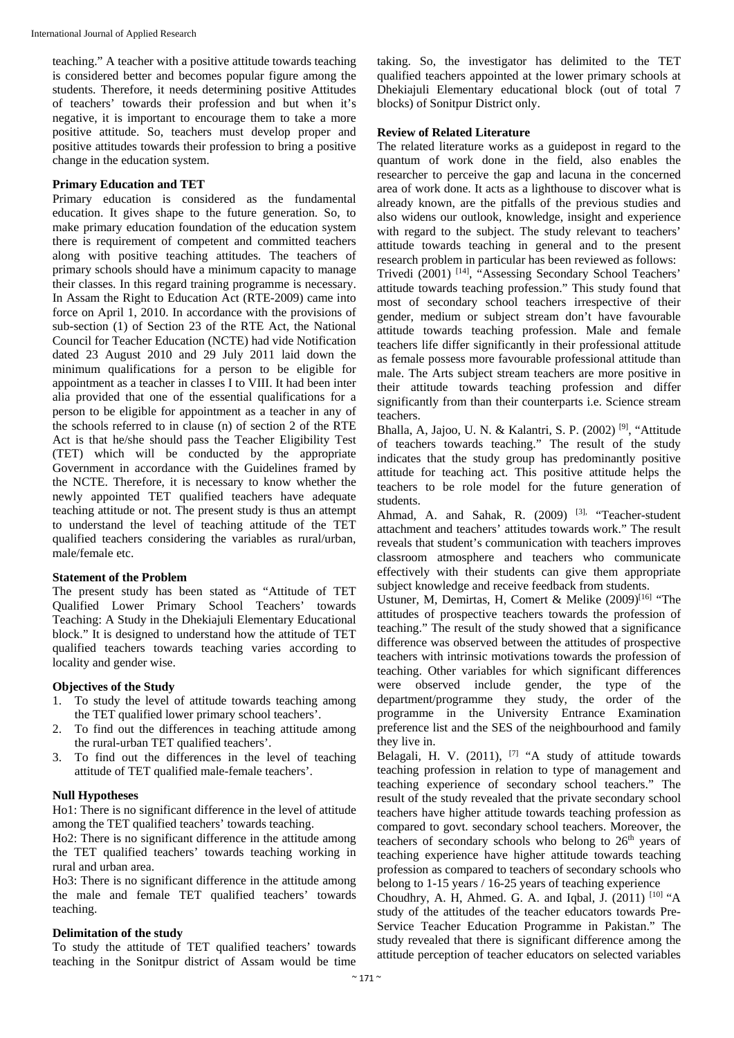teaching." A teacher with a positive attitude towards teaching is considered better and becomes popular figure among the students. Therefore, it needs determining positive Attitudes of teachers' towards their profession and but when it's negative, it is important to encourage them to take a more positive attitude. So, teachers must develop proper and positive attitudes towards their profession to bring a positive change in the education system.

#### **Primary Education and TET**

Primary education is considered as the fundamental education. It gives shape to the future generation. So, to make primary education foundation of the education system there is requirement of competent and committed teachers along with positive teaching attitudes. The teachers of primary schools should have a minimum capacity to manage their classes. In this regard training programme is necessary. In Assam the Right to Education Act (RTE-2009) came into force on April 1, 2010. In accordance with the provisions of sub-section (1) of Section 23 of the RTE Act, the National Council for Teacher Education (NCTE) had vide Notification dated 23 August 2010 and 29 July 2011 laid down the minimum qualifications for a person to be eligible for appointment as a teacher in classes I to VIII. It had been inter alia provided that one of the essential qualifications for a person to be eligible for appointment as a teacher in any of the schools referred to in clause (n) of section 2 of the RTE Act is that he/she should pass the Teacher Eligibility Test (TET) which will be conducted by the appropriate Government in accordance with the Guidelines framed by the NCTE. Therefore, it is necessary to know whether the newly appointed TET qualified teachers have adequate teaching attitude or not. The present study is thus an attempt to understand the level of teaching attitude of the TET qualified teachers considering the variables as rural/urban, male/female etc.

#### **Statement of the Problem**

The present study has been stated as "Attitude of TET Qualified Lower Primary School Teachers' towards Teaching: A Study in the Dhekiajuli Elementary Educational block." It is designed to understand how the attitude of TET qualified teachers towards teaching varies according to locality and gender wise.

### **Objectives of the Study**

- 1. To study the level of attitude towards teaching among the TET qualified lower primary school teachers'.
- 2. To find out the differences in teaching attitude among the rural-urban TET qualified teachers'.
- 3. To find out the differences in the level of teaching attitude of TET qualified male-female teachers'.

### **Null Hypotheses**

Ho1: There is no significant difference in the level of attitude among the TET qualified teachers' towards teaching.

Ho2: There is no significant difference in the attitude among the TET qualified teachers' towards teaching working in rural and urban area.

Ho3: There is no significant difference in the attitude among the male and female TET qualified teachers' towards teaching.

### **Delimitation of the study**

To study the attitude of TET qualified teachers' towards teaching in the Sonitpur district of Assam would be time taking. So, the investigator has delimited to the TET qualified teachers appointed at the lower primary schools at Dhekiajuli Elementary educational block (out of total 7 blocks) of Sonitpur District only.

### **Review of Related Literature**

The related literature works as a guidepost in regard to the quantum of work done in the field, also enables the researcher to perceive the gap and lacuna in the concerned area of work done. It acts as a lighthouse to discover what is already known, are the pitfalls of the previous studies and also widens our outlook, knowledge, insight and experience with regard to the subject. The study relevant to teachers' attitude towards teaching in general and to the present research problem in particular has been reviewed as follows: Trivedi (2001) [14], "Assessing Secondary School Teachers' attitude towards teaching profession." This study found that most of secondary school teachers irrespective of their gender, medium or subject stream don't have favourable attitude towards teaching profession. Male and female teachers life differ significantly in their professional attitude as female possess more favourable professional attitude than male. The Arts subject stream teachers are more positive in their attitude towards teaching profession and differ significantly from than their counterparts i.e. Science stream teachers.

Bhalla, A, Jajoo, U. N. & Kalantri, S. P. (2002) [9], "Attitude of teachers towards teaching." The result of the study indicates that the study group has predominantly positive attitude for teaching act. This positive attitude helps the teachers to be role model for the future generation of students.

Ahmad, A. and Sahak, R. (2009) <sup>[3],</sup> "Teacher-student attachment and teachers' attitudes towards work." The result reveals that student's communication with teachers improves classroom atmosphere and teachers who communicate effectively with their students can give them appropriate subject knowledge and receive feedback from students.

Ustuner, M, Demirtas, H, Comert & Melike (2009)<sup>[16]</sup> "The attitudes of prospective teachers towards the profession of teaching." The result of the study showed that a significance difference was observed between the attitudes of prospective teachers with intrinsic motivations towards the profession of teaching. Other variables for which significant differences were observed include gender, the type of the department/programme they study, the order of the programme in the University Entrance Examination preference list and the SES of the neighbourhood and family they live in.

Belagali, H. V.  $(2011)$ ,  $[7]$  "A study of attitude towards teaching profession in relation to type of management and teaching experience of secondary school teachers." The result of the study revealed that the private secondary school teachers have higher attitude towards teaching profession as compared to govt. secondary school teachers. Moreover, the teachers of secondary schools who belong to  $26<sup>th</sup>$  years of teaching experience have higher attitude towards teaching profession as compared to teachers of secondary schools who belong to 1-15 years / 16-25 years of teaching experience

Choudhry, A. H, Ahmed. G. A. and Iqbal, J.  $(2011)$ <sup>[10]</sup> "A study of the attitudes of the teacher educators towards Pre-Service Teacher Education Programme in Pakistan." The study revealed that there is significant difference among the attitude perception of teacher educators on selected variables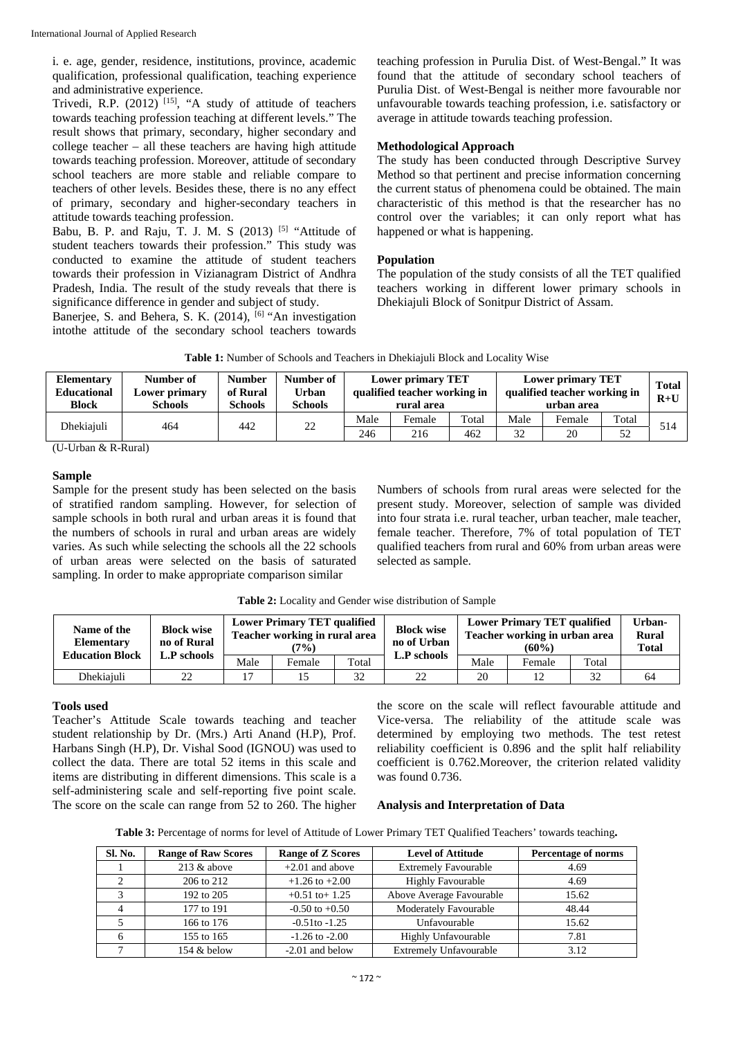i. e. age, gender, residence, institutions, province, academic qualification, professional qualification, teaching experience and administrative experience.

Trivedi, R.P.  $(2012)$ <sup>[15]</sup>, "A study of attitude of teachers towards teaching profession teaching at different levels." The result shows that primary, secondary, higher secondary and college teacher – all these teachers are having high attitude towards teaching profession. Moreover, attitude of secondary school teachers are more stable and reliable compare to teachers of other levels. Besides these, there is no any effect of primary, secondary and higher-secondary teachers in attitude towards teaching profession.

Babu, B. P. and Raju, T. J. M. S  $(2013)$  <sup>[5]</sup> "Attitude of student teachers towards their profession." This study was conducted to examine the attitude of student teachers towards their profession in Vizianagram District of Andhra Pradesh, India. The result of the study reveals that there is significance difference in gender and subject of study.

Banerjee, S. and Behera, S. K. (2014), <sup>[6]</sup> "An investigation intothe attitude of the secondary school teachers towards teaching profession in Purulia Dist. of West-Bengal." It was found that the attitude of secondary school teachers of Purulia Dist. of West-Bengal is neither more favourable nor unfavourable towards teaching profession, i.e. satisfactory or average in attitude towards teaching profession.

### **Methodological Approach**

The study has been conducted through Descriptive Survey Method so that pertinent and precise information concerning the current status of phenomena could be obtained. The main characteristic of this method is that the researcher has no control over the variables; it can only report what has happened or what is happening.

### **Population**

The population of the study consists of all the TET qualified teachers working in different lower primary schools in Dhekiajuli Block of Sonitpur District of Assam.

| <b>Table 1:</b> Number of Schools and Teachers in Dhekiajuli Block and Locality Wise |
|--------------------------------------------------------------------------------------|
|                                                                                      |

| Elementary<br><b>Educational</b><br><b>Block</b> | Number of<br>Lower primary<br><b>Schools</b> | <b>Number</b><br>of Rural<br><b>Schools</b> | Number of<br><b>Urban</b><br><b>Schools</b> |      | <b>Lower primary TET</b><br>Lower primary TET<br>qualified teacher working in<br>qualified teacher working in<br>rural area<br>urban area |       |      |        |       | <b>Total</b><br>$R+U$ |
|--------------------------------------------------|----------------------------------------------|---------------------------------------------|---------------------------------------------|------|-------------------------------------------------------------------------------------------------------------------------------------------|-------|------|--------|-------|-----------------------|
| Dhekiaiuli                                       |                                              | 442                                         |                                             | Male | Female                                                                                                                                    | Total | Male | Female | Total | 514                   |
|                                                  | 464                                          |                                             | 22                                          | 246  | 216                                                                                                                                       | 462   | 32   | 20     | 52    |                       |

(U-Urban & R-Rural)

### **Sample**

Sample for the present study has been selected on the basis of stratified random sampling. However, for selection of sample schools in both rural and urban areas it is found that the numbers of schools in rural and urban areas are widely varies. As such while selecting the schools all the 22 schools of urban areas were selected on the basis of saturated sampling. In order to make appropriate comparison similar

Numbers of schools from rural areas were selected for the present study. Moreover, selection of sample was divided into four strata i.e. rural teacher, urban teacher, male teacher, female teacher. Therefore, 7% of total population of TET qualified teachers from rural and 60% from urban areas were selected as sample.

| Table 2: Locality and Gender wise distribution of Sample |  |
|----------------------------------------------------------|--|
|----------------------------------------------------------|--|

| Name of the<br><b>Elementary</b><br><b>Education Block</b> | <b>Block wise</b><br>no of Rural |      | <b>Lower Primary TET qualified</b><br>Teacher working in rural area<br>(7%) |       |             | <b>Lower Primary TET qualified</b><br>Teacher working in urban area | Urban-<br><b>Rural</b><br><b>Total</b> |       |    |
|------------------------------------------------------------|----------------------------------|------|-----------------------------------------------------------------------------|-------|-------------|---------------------------------------------------------------------|----------------------------------------|-------|----|
|                                                            | L <b>.P</b> schools              | Male | Female                                                                      | Total | L.P schools | Male                                                                | Female                                 | Total |    |
| Dhekiaiuli                                                 | 22                               |      |                                                                             | 32    | 22          | 20                                                                  | 12                                     | 32    | 64 |

#### **Tools used**

Teacher's Attitude Scale towards teaching and teacher student relationship by Dr. (Mrs.) Arti Anand (H.P), Prof. Harbans Singh (H.P), Dr. Vishal Sood (IGNOU) was used to collect the data. There are total 52 items in this scale and items are distributing in different dimensions. This scale is a self-administering scale and self-reporting five point scale. The score on the scale can range from 52 to 260. The higher the score on the scale will reflect favourable attitude and Vice-versa. The reliability of the attitude scale was determined by employing two methods. The test retest reliability coefficient is 0.896 and the split half reliability coefficient is 0.762.Moreover, the criterion related validity was found 0.736.

#### **Analysis and Interpretation of Data**

**Table 3:** Percentage of norms for level of Attitude of Lower Primary TET Qualified Teachers' towards teaching**.** 

| <b>Sl. No.</b> | <b>Range of Raw Scores</b> | <b>Range of Z Scores</b> | <b>Level of Attitude</b>      | <b>Percentage of norms</b> |
|----------------|----------------------------|--------------------------|-------------------------------|----------------------------|
|                | $213 \&$ above             | $+2.01$ and above        | <b>Extremely Favourable</b>   | 4.69                       |
|                | 206 to 212                 | $+1.26$ to $+2.00$       | <b>Highly Favourable</b>      | 4.69                       |
|                | 192 to 205                 | $+0.51$ to $+1.25$       | Above Average Favourable      | 15.62                      |
| $\overline{4}$ | 177 to 191                 | $-0.50$ to $+0.50$       | Moderately Favourable         | 48.44                      |
|                | 166 to 176                 | $-0.51$ to $-1.25$       | Unfavourable                  | 15.62                      |
| 6              | 155 to 165                 | $-1.26$ to $-2.00$       | <b>Highly Unfavourable</b>    | 7.81                       |
|                | 154 & below                | $-2.01$ and below        | <b>Extremely Unfavourable</b> | 3.12                       |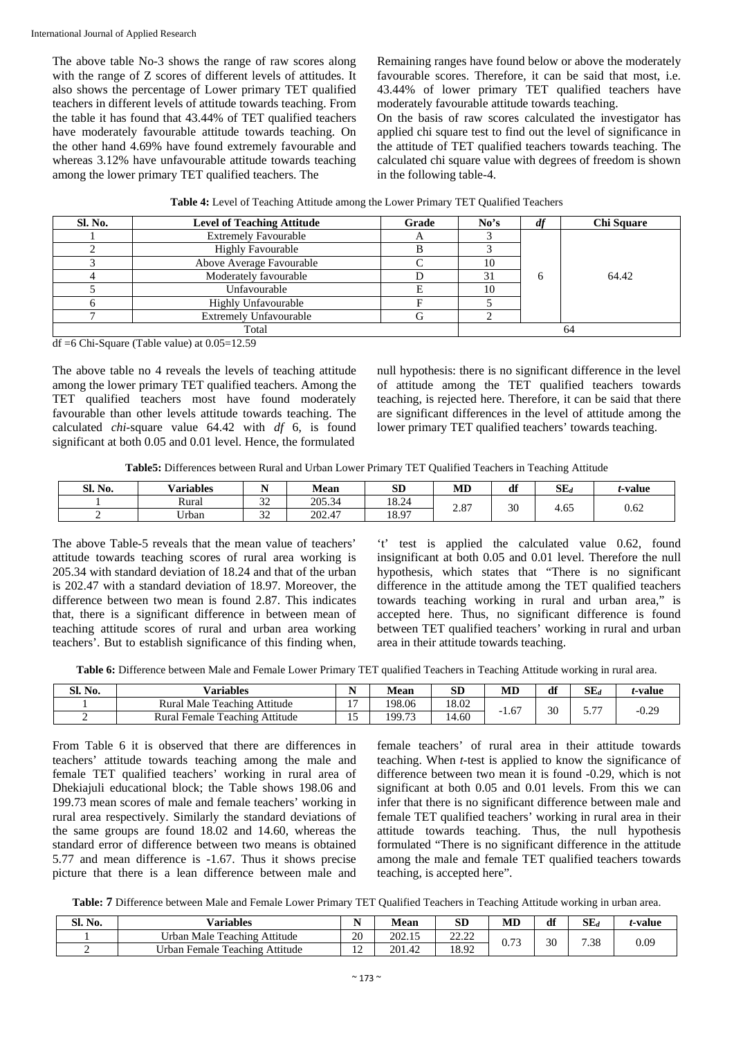The above table No-3 shows the range of raw scores along with the range of Z scores of different levels of attitudes. It also shows the percentage of Lower primary TET qualified teachers in different levels of attitude towards teaching. From the table it has found that 43.44% of TET qualified teachers have moderately favourable attitude towards teaching. On the other hand 4.69% have found extremely favourable and whereas 3.12% have unfavourable attitude towards teaching among the lower primary TET qualified teachers. The

Remaining ranges have found below or above the moderately favourable scores. Therefore, it can be said that most, i.e. 43.44% of lower primary TET qualified teachers have moderately favourable attitude towards teaching.

On the basis of raw scores calculated the investigator has applied chi square test to find out the level of significance in the attitude of TET qualified teachers towards teaching. The calculated chi square value with degrees of freedom is shown in the following table-4.

| Sl. No. | <b>Level of Teaching Attitude</b> | Grade | No's | df | <b>Chi Square</b> |
|---------|-----------------------------------|-------|------|----|-------------------|
|         | <b>Extremely Favourable</b>       |       |      |    |                   |
|         | <b>Highly Favourable</b>          |       |      |    |                   |
|         | Above Average Favourable          |       | 10   |    |                   |
|         | Moderately favourable             |       | 31   | h  | 64.42             |
|         | Unfavourable                      |       | 10   |    |                   |
|         | <b>Highly Unfavourable</b>        |       |      |    |                   |
|         | <b>Extremely Unfavourable</b>     |       |      |    |                   |
|         | Total                             |       |      | 64 |                   |

df =6 Chi-Square (Table value) at 0.05=12.59

The above table no 4 reveals the levels of teaching attitude among the lower primary TET qualified teachers. Among the TET qualified teachers most have found moderately favourable than other levels attitude towards teaching. The calculated *chi*-square value 64.42 with *df* 6, is found significant at both 0.05 and 0.01 level. Hence, the formulated

null hypothesis: there is no significant difference in the level of attitude among the TET qualified teachers towards teaching, is rejected here. Therefore, it can be said that there are significant differences in the level of attitude among the lower primary TET qualified teachers' towards teaching.

**Table5:** Differences between Rural and Urban Lower Primary TET Qualified Teachers in Teaching Attitude

| Sl. No. | .<br>$ -$<br><b>Variables</b> |               | Mean   | <b>SD</b> | MD                      | df | $SE_d$ | <i>t</i> -value |      |
|---------|-------------------------------|---------------|--------|-----------|-------------------------|----|--------|-----------------|------|
|         | n<br>Rural                    | $\sim$<br>ے ب | 205.34 | 18.24     | $\Omega$<br>$\angle$ .0 |    | 30     | $\sim$ $\sim$   | 0.62 |
|         | <b>TT 1</b><br>∪rban          | $\sim$<br>ے ر | 202.47 | 18.97     |                         |    | 7.UJ   |                 |      |

The above Table-5 reveals that the mean value of teachers' attitude towards teaching scores of rural area working is 205.34 with standard deviation of 18.24 and that of the urban is 202.47 with a standard deviation of 18.97. Moreover, the difference between two mean is found 2.87. This indicates that, there is a significant difference in between mean of teaching attitude scores of rural and urban area working teachers'. But to establish significance of this finding when,

't' test is applied the calculated value 0.62, found insignificant at both 0.05 and 0.01 level. Therefore the null hypothesis, which states that "There is no significant difference in the attitude among the TET qualified teachers towards teaching working in rural and urban area," is accepted here. Thus, no significant difference is found between TET qualified teachers' working in rural and urban area in their attitude towards teaching.

**Table 6:** Difference between Male and Female Lower Primary TET qualified Teachers in Teaching Attitude working in rural area.

| SI.<br>No. | <b>Variables</b>                  |       | Mean           | SĽ    | MD   | df | $SE_{d}$   | <i>i</i> -value |
|------------|-----------------------------------|-------|----------------|-------|------|----|------------|-----------------|
|            | Rural Male Teaching Attitude      | . .   | 198.06         | 18.02 | 1.67 | 30 | $- -$<br>. | ስ ኃስ<br>$-U.2$  |
|            | Rural Female<br>Teaching Attitude | -<br> | 19973<br>19.12 | 14.60 | - 1  |    |            |                 |

From Table 6 it is observed that there are differences in teachers' attitude towards teaching among the male and female TET qualified teachers' working in rural area of Dhekiajuli educational block; the Table shows 198.06 and 199.73 mean scores of male and female teachers' working in rural area respectively. Similarly the standard deviations of the same groups are found 18.02 and 14.60, whereas the standard error of difference between two means is obtained 5.77 and mean difference is -1.67. Thus it shows precise picture that there is a lean difference between male and

female teachers' of rural area in their attitude towards teaching. When *t*-test is applied to know the significance of difference between two mean it is found -0.29, which is not significant at both 0.05 and 0.01 levels. From this we can infer that there is no significant difference between male and female TET qualified teachers' working in rural area in their attitude towards teaching. Thus, the null hypothesis formulated "There is no significant difference in the attitude among the male and female TET qualified teachers towards teaching, is accepted here".

**Table: 7** Difference between Male and Female Lower Primary TET Qualified Teachers in Teaching Attitude working in urban area.

| <b>SI. No.</b> | <b>Variables</b>                                               | $\overline{\phantom{a}}$<br>* * | Mean   | CD<br>ЭL       | MD         | df | $SE_d$ | <i>t</i> -value |
|----------------|----------------------------------------------------------------|---------------------------------|--------|----------------|------------|----|--------|-----------------|
|                | <b>TT 1</b><br>$\sim$<br>Attitude<br>Male<br>Feaching<br>Jrban | 20                              | 202.15 | 22.22<br>----- | $\sqrt{2}$ | 30 |        | $_{0.09}$       |
|                | Urban.<br>Attitude<br>Female<br>l'eaching                      | $1^{\circ}$<br>$\overline{1}$   | 201.42 | 18.92          | v. 1 J     |    | 7.38   |                 |